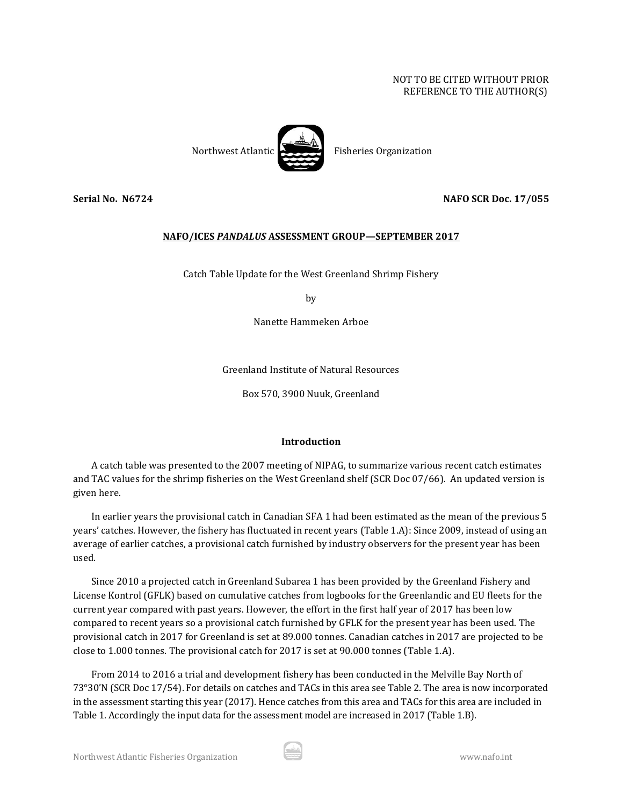# NOT TO BE CITED WITHOUT PRIOR REFERENCE TO THE AUTHOR(S)



**Serial No. N6724 NAFO SCR Doc. 17/055**

## **NAFO/ICES** *PANDALUS* **ASSESSMENT GROUP—SEPTEMBER 2017**

Catch Table Update for the West Greenland Shrimp Fishery

by

Nanette Hammeken Arboe

Greenland Institute of Natural Resources

Box 570, 3900 Nuuk, Greenland

### **Introduction**

A catch table was presented to the 2007 meeting of NIPAG, to summarize various recent catch estimates and TAC values for the shrimp fisheries on the West Greenland shelf (SCR Doc 07/66). An updated version is given here.

In earlier years the provisional catch in Canadian SFA 1 had been estimated as the mean of the previous 5 years' catches. However, the fishery has fluctuated in recent years (Table 1.A): Since 2009, instead of using an average of earlier catches, a provisional catch furnished by industry observers for the present year has been used.

Since 2010 a projected catch in Greenland Subarea 1 has been provided by the Greenland Fishery and License Kontrol (GFLK) based on cumulative catches from logbooks for the Greenlandic and EU fleets for the current year compared with past years. However, the effort in the first half year of 2017 has been low compared to recent years so a provisional catch furnished by GFLK for the present year has been used. The provisional catch in 2017 for Greenland is set at 89.000 tonnes. Canadian catches in 2017 are projected to be close to 1.000 tonnes. The provisional catch for 2017 is set at 90.000 tonnes (Table 1.A).

From 2014 to 2016 a trial and development fishery has been conducted in the Melville Bay North of 73°30'N (SCR Doc 17/54). For details on catches and TACs in this area see Table 2. The area is now incorporated in the assessment starting this year (2017). Hence catches from this area and TACs for this area are included in Table 1. Accordingly the input data for the assessment model are increased in 2017 (Table 1.B).

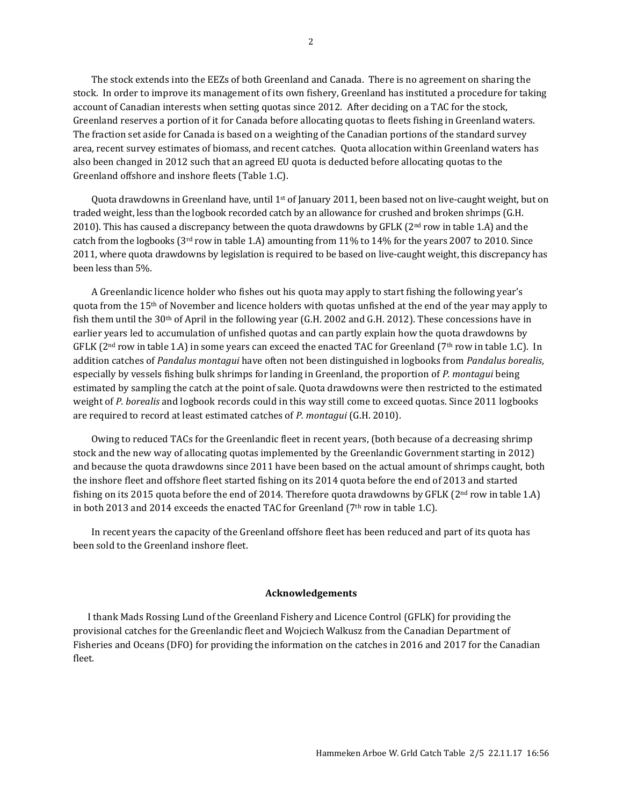The stock extends into the EEZs of both Greenland and Canada. There is no agreement on sharing the stock. In order to improve its management of its own fishery, Greenland has instituted a procedure for taking account of Canadian interests when setting quotas since 2012. After deciding on a TAC for the stock, Greenland reserves a portion of it for Canada before allocating quotas to fleets fishing in Greenland waters. The fraction set aside for Canada is based on a weighting of the Canadian portions of the standard survey area, recent survey estimates of biomass, and recent catches. Quota allocation within Greenland waters has also been changed in 2012 such that an agreed EU quota is deducted before allocating quotas to the Greenland offshore and inshore fleets (Table 1.C).

Quota drawdowns in Greenland have, until  $1<sup>st</sup>$  of January 2011, been based not on live-caught weight, but on traded weight, less than the logbook recorded catch by an allowance for crushed and broken shrimps (G.H. 2010). This has caused a discrepancy between the quota drawdowns by GFLK ( $2<sup>nd</sup>$  row in table 1.A) and the catch from the logbooks (3<sup>rd</sup> row in table 1.A) amounting from 11% to 14% for the years 2007 to 2010. Since 2011, where quota drawdowns by legislation is required to be based on live-caught weight, this discrepancy has been less than 5%.

A Greenlandic licence holder who fishes out his quota may apply to start fishing the following year's quota from the  $15<sup>th</sup>$  of November and licence holders with quotas unfished at the end of the year may apply to fish them until the 30th of April in the following year (G.H. 2002 and G.H. 2012). These concessions have in earlier years led to accumulation of unfished quotas and can partly explain how the quota drawdowns by GFLK ( $2<sup>nd</sup>$  row in table 1.A) in some years can exceed the enacted TAC for Greenland ( $7<sup>th</sup>$  row in table 1.C). In addition catches of *Pandalus montagui* have often not been distinguished in logbooks from *Pandalus borealis*, especially by vessels fishing bulk shrimps for landing in Greenland, the proportion of *P. montagui* being estimated by sampling the catch at the point of sale. Quota drawdowns were then restricted to the estimated weight of *P. borealis* and logbook records could in this way still come to exceed quotas. Since 2011 logbooks are required to record at least estimated catches of *P. montagui* (G.H. 2010).

Owing to reduced TACs for the Greenlandic fleet in recent years, (both because of a decreasing shrimp stock and the new way of allocating quotas implemented by the Greenlandic Government starting in 2012) and because the quota drawdowns since 2011 have been based on the actual amount of shrimps caught, both the inshore fleet and offshore fleet started fishing on its 2014 quota before the end of 2013 and started fishing on its 2015 quota before the end of 2014. Therefore quota drawdowns by GFLK ( $2<sup>nd</sup>$  row in table 1.A) in both 2013 and 2014 exceeds the enacted TAC for Greenland ( $7<sup>th</sup>$  row in table 1.C).

In recent years the capacity of the Greenland offshore fleet has been reduced and part of its quota has been sold to the Greenland inshore fleet.

#### **Acknowledgements**

I thank Mads Rossing Lund of the Greenland Fishery and Licence Control (GFLK) for providing the provisional catches for the Greenlandic fleet and Wojciech Walkusz from the Canadian Department of Fisheries and Oceans (DFO) for providing the information on the catches in 2016 and 2017 for the Canadian fleet.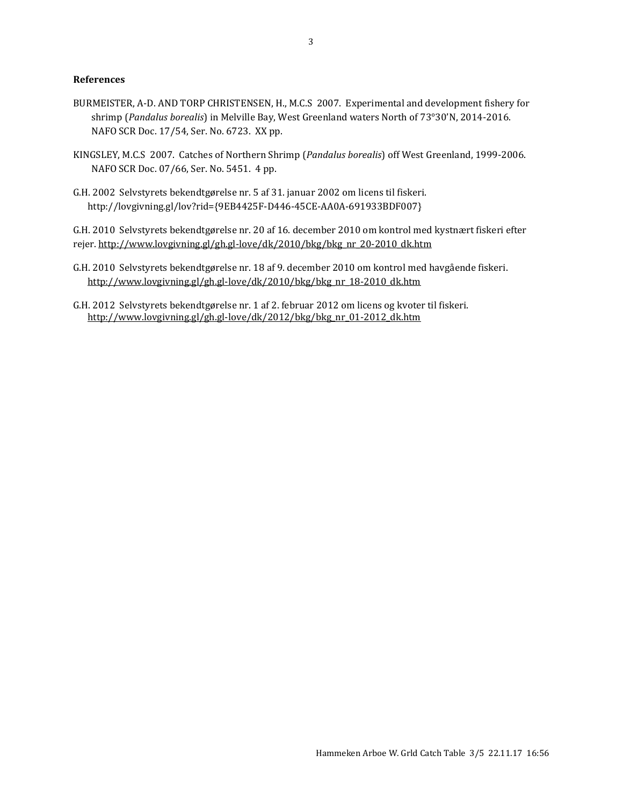#### **References**

- BURMEISTER, A-D. AND TORP CHRISTENSEN, H., M.C.S 2007. Experimental and development fishery for shrimp (*Pandalus borealis*) in Melville Bay, West Greenland waters North of 73°30'N, 2014-2016. NAFO SCR Doc. 17/54, Ser. No. 6723. XX pp.
- KINGSLEY, M.C.S 2007. Catches of Northern Shrimp (*Pandalus borealis*) off West Greenland, 1999-2006. NAFO SCR Doc. 07/66, Ser. No. 5451. 4 pp.
- G.H. 2002 Selvstyrets bekendtgørelse nr. 5 af 31. januar 2002 om licens til fiskeri. http://lovgivning.gl/lov?rid={9EB4425F-D446-45CE-AA0A-691933BDF007}

G.H. 2010 Selvstyrets bekendtgørelse nr. 20 af 16. december 2010 om kontrol med kystnært fiskeri efter rejer. [http://www.lovgivning.gl/gh.gl-love/dk/2010/bkg/bkg\\_nr\\_20-2010\\_dk.htm](http://www.lovgivning.gl/gh.gl-love/dk/2010/bkg/bkg_nr_20-2010_dk.htm)

G.H. 2010 Selvstyrets bekendtgørelse nr. 18 af 9. december 2010 om kontrol med havgående fiskeri. [http://www.lovgivning.gl/gh.gl-love/dk/2010/bkg/bkg\\_nr\\_18-2010\\_dk.htm](http://www.lovgivning.gl/gh.gl-love/dk/2010/bkg/bkg_nr_18-2010_dk.htm)

G.H. 2012 Selvstyrets bekendtgørelse nr. 1 af 2. februar 2012 om licens og kvoter til fiskeri. [http://www.lovgivning.gl/gh.gl-love/dk/2012/bkg/bkg\\_nr\\_01-2012\\_dk.htm](http://www.lovgivning.gl/gh.gl-love/dk/2012/bkg/bkg_nr_01-2012_dk.htm)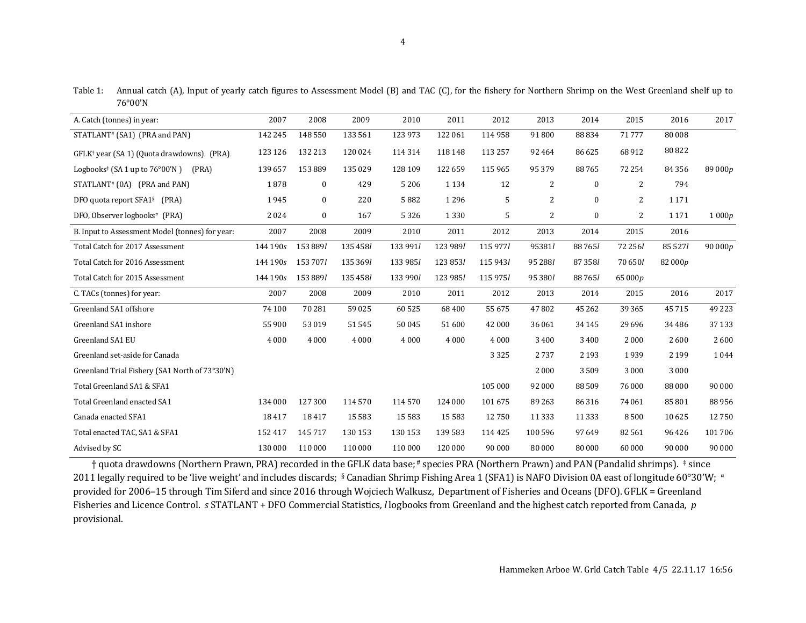Table 1: Annual catch (A), Input of yearly catch figures to Assessment Model (B) and TAC (C), for the fishery for Northern Shrimp on the West Greenland shelf up to 76°00'N

| A. Catch (tonnes) in year:                                                    | 2007     | 2008         | 2009     | 2010     | 2011     | 2012     | 2013           | 2014         | 2015     | 2016     | 2017    |
|-------------------------------------------------------------------------------|----------|--------------|----------|----------|----------|----------|----------------|--------------|----------|----------|---------|
| STATLANT <sup>#</sup> (SA1) (PRA and PAN)                                     | 142 245  | 148 550      | 133 561  | 123 973  | 122 061  | 114 958  | 91800          | 88834        | 71777    | 80 008   |         |
| GFLK <sup>†</sup> year (SA 1) (Quota drawdowns) (PRA)                         | 123 126  | 132 213      | 120 024  | 114 314  | 118 148  | 113 257  | 92 4 64        | 86 625       | 68912    | 80822    |         |
| Logbooks <sup><math>\pm</math></sup> (SA 1 up to 76 $\degree$ 00'N )<br>(PRA) | 139 657  | 153889       | 135 029  | 128 109  | 122 659  | 115 965  | 95 379         | 88765        | 72 254   | 84 3 5 6 | 89 000p |
| STATLANT# (0A) (PRA and PAN)                                                  | 1878     | $\bf{0}$     | 429      | 5206     | 1 1 3 4  | 12       | 2              | $\bf{0}$     | 2        | 794      |         |
| DFO quota report SFA1 <sup>§</sup> (PRA)                                      | 1945     | $\mathbf{0}$ | 220      | 5882     | 1296     | 5        | 2              | $\mathbf{0}$ | 2        | 1 1 7 1  |         |
| DFO, Observer logbooks <sup>¤</sup> (PRA)                                     | 2024     | $\bf{0}$     | 167      | 5326     | 1330     | 5        | $\overline{2}$ | $\bf{0}$     | 2        | 1 1 7 1  | 1000p   |
| B. Input to Assessment Model (tonnes) for year:                               | 2007     | 2008         | 2009     | 2010     | 2011     | 2012     | 2013           | 2014         | 2015     | 2016     |         |
| Total Catch for 2017 Assessment                                               | 144 190s | 153 8891     | 135 458/ | 133 991/ | 123 9891 | 115 9771 | 95381/         | 88 7 65 1    | 72 256/  | 85 527/  | 90000p  |
| Total Catch for 2016 Assessment                                               | 144 190s | 153 7071     | 135 3691 | 133 985/ | 123 8531 | 115 943/ | 95 2881        | 87 3581      | 70 650/  | 82 000p  |         |
| Total Catch for 2015 Assessment                                               | 144 190s | 153 8891     | 135 4581 | 133 990/ | 123 985/ | 115 975/ | 95 380/        | 887651       | 65 000p  |          |         |
| C. TACs (tonnes) for year:                                                    | 2007     | 2008         | 2009     | 2010     | 2011     | 2012     | 2013           | 2014         | 2015     | 2016     | 2017    |
| Greenland SA1 offshore                                                        | 74 100   | 70 281       | 59 0 25  | 60 525   | 68 400   | 55 675   | 47802          | 45 2 62      | 39 365   | 45715    | 49 2 23 |
| Greenland SA1 inshore                                                         | 55 900   | 53019        | 51 545   | 50 045   | 51 600   | 42 000   | 36 061         | 34 1 45      | 29 6 9 6 | 34 4 8 6 | 37 133  |
| Greenland SA1 EU                                                              | 4 0 0 0  | 4 0 0 0      | 4 0 0 0  | 4000     | 4 0 0 0  | 4 0 0 0  | 3 4 0 0        | 3 4 0 0      | 2000     | 2600     | 2600    |
| Greenland set-aside for Canada                                                |          |              |          |          |          | 3 3 2 5  | 2737           | 2 1 9 3      | 1939     | 2 1 9 9  | 1044    |
| Greenland Trial Fishery (SA1 North of 73°30'N)                                |          |              |          |          |          |          | 2000           | 3509         | 3 0 0 0  | 3 0 0 0  |         |
| Total Greenland SA1 & SFA1                                                    |          |              |          |          |          | 105 000  | 92 000         | 88509        | 76 000   | 88 000   | 90 000  |
| Total Greenland enacted SA1                                                   | 134 000  | 127 300      | 114 570  | 114570   | 124 000  | 101675   | 89 263         | 86316        | 74 061   | 85801    | 88956   |
| Canada enacted SFA1                                                           | 18417    | 18417        | 15 5 83  | 15 5 83  | 15 5 83  | 12750    | 11 3 3 3       | 11 3 3 3     | 8500     | 10 6 25  | 12750   |
| Total enacted TAC, SA1 & SFA1                                                 | 152 417  | 145 717      | 130 153  | 130 153  | 139 583  | 114 425  | 100 596        | 97649        | 82 561   | 96426    | 101706  |
| Advised by SC                                                                 | 130 000  | 110 000      | 110 000  | 110 000  | 120 000  | 90 000   | 80 000         | 80 000       | 60 000   | 90 000   | 90 000  |
|                                                                               |          |              |          |          |          |          |                |              |          |          |         |

† quota drawdowns (Northern Prawn, PRA) recorded in the GFLK data base; # species PRA (Northern Prawn) and PAN (Pandalid shrimps). ‡since 2011 legally required to be 'live weight' and includes discards; §Canadian Shrimp Fishing Area 1 (SFA1) is NAFO Division 0A east of longitude 60°30'W; # provided for 2006–15 through Tim Siferd and since 2016 through Wojciech Walkusz, Department of Fisheries and Oceans (DFO). GFLK = Greenland Fisheries and Licence Control. *s* STATLANT + DFO Commercial Statistics*, l* logbooks from Greenland and the highest catch reported from Canada*, p* provisional.